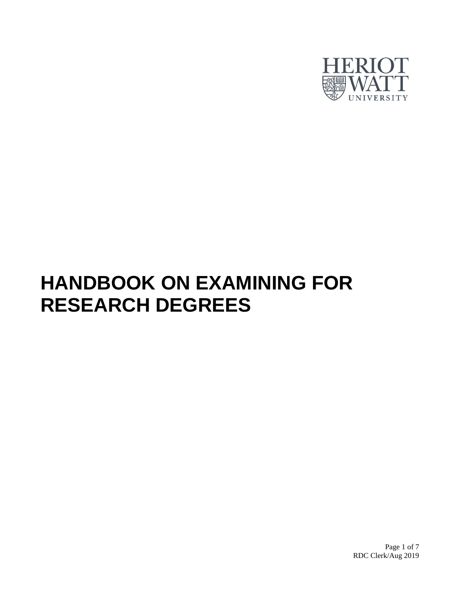

# **HANDBOOK ON EXAMINING FOR RESEARCH DEGREES**

Page 1 of 7 RDC Clerk/Aug 2019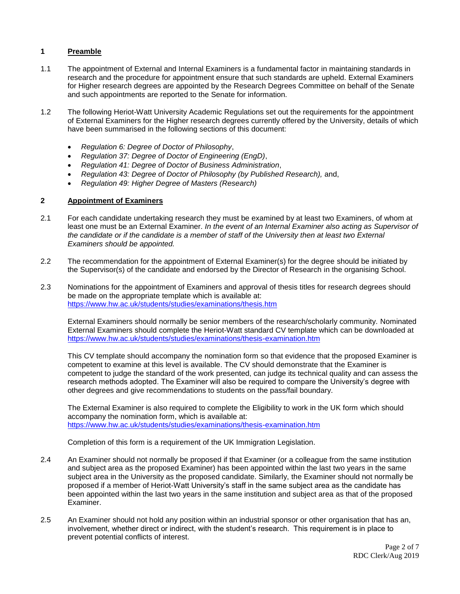# **1 Preamble**

- 1.1 The appointment of External and Internal Examiners is a fundamental factor in maintaining standards in research and the procedure for appointment ensure that such standards are upheld. External Examiners for Higher research degrees are appointed by the Research Degrees Committee on behalf of the Senate and such appointments are reported to the Senate for information.
- 1.2 The following Heriot-Watt University Academic Regulations set out the requirements for the appointment of External Examiners for the Higher research degrees currently offered by the University, details of which have been summarised in the following sections of this document:
	- *Regulation 6: Degree of Doctor of Philosophy*,
	- *Regulation 37: Degree of Doctor of Engineering (EngD)*,
	- *Regulation 41: Degree of Doctor of Business Administration*,
	- *Regulation 43: Degree of Doctor of Philosophy (by Published Research),* and,
	- *Regulation 49: Higher Degree of Masters (Research)*

# **2 Appointment of Examiners**

- 2.1 For each candidate undertaking research they must be examined by at least two Examiners, of whom at least one must be an External Examiner. *In the event of an Internal Examiner also acting as Supervisor of the candidate or if the candidate is a member of staff of the University then at least two External Examiners should be appointed.*
- 2.2 The recommendation for the appointment of External Examiner(s) for the degree should be initiated by the Supervisor(s) of the candidate and endorsed by the Director of Research in the organising School.
- 2.3 Nominations for the appointment of Examiners and approval of thesis titles for research degrees should be made on the appropriate template which is available at: <https://www.hw.ac.uk/students/studies/examinations/thesis.htm>

External Examiners should normally be senior members of the research/scholarly community. Nominated External Examiners should complete the Heriot-Watt standard CV template which can be downloaded at <https://www.hw.ac.uk/students/studies/examinations/thesis-examination.htm>

This CV template should accompany the nomination form so that evidence that the proposed Examiner is competent to examine at this level is available. The CV should demonstrate that the Examiner is competent to judge the standard of the work presented, can judge its technical quality and can assess the research methods adopted. The Examiner will also be required to compare the University's degree with other degrees and give recommendations to students on the pass/fail boundary.

The External Examiner is also required to complete the Eligibility to work in the UK form which should accompany the nomination form, which is available at: <https://www.hw.ac.uk/students/studies/examinations/thesis-examination.htm>

Completion of this form is a requirement of the UK Immigration Legislation.

- 2.4 An Examiner should not normally be proposed if that Examiner (or a colleague from the same institution and subject area as the proposed Examiner) has been appointed within the last two years in the same subject area in the University as the proposed candidate. Similarly, the Examiner should not normally be proposed if a member of Heriot-Watt University's staff in the same subject area as the candidate has been appointed within the last two years in the same institution and subject area as that of the proposed Examiner.
- 2.5 An Examiner should not hold any position within an industrial sponsor or other organisation that has an, involvement, whether direct or indirect, with the student's research. This requirement is in place to prevent potential conflicts of interest.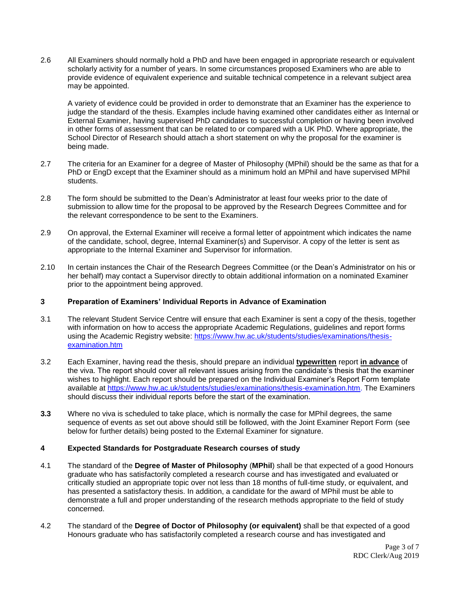2.6 All Examiners should normally hold a PhD and have been engaged in appropriate research or equivalent scholarly activity for a number of years. In some circumstances proposed Examiners who are able to provide evidence of equivalent experience and suitable technical competence in a relevant subject area may be appointed.

A variety of evidence could be provided in order to demonstrate that an Examiner has the experience to judge the standard of the thesis. Examples include having examined other candidates either as Internal or External Examiner, having supervised PhD candidates to successful completion or having been involved in other forms of assessment that can be related to or compared with a UK PhD. Where appropriate, the School Director of Research should attach a short statement on why the proposal for the examiner is being made.

- 2.7 The criteria for an Examiner for a degree of Master of Philosophy (MPhil) should be the same as that for a PhD or EngD except that the Examiner should as a minimum hold an MPhil and have supervised MPhil students.
- 2.8 The form should be submitted to the Dean's Administrator at least four weeks prior to the date of submission to allow time for the proposal to be approved by the Research Degrees Committee and for the relevant correspondence to be sent to the Examiners.
- 2.9 On approval, the External Examiner will receive a formal letter of appointment which indicates the name of the candidate, school, degree, Internal Examiner(s) and Supervisor. A copy of the letter is sent as appropriate to the Internal Examiner and Supervisor for information.
- 2.10 In certain instances the Chair of the Research Degrees Committee (or the Dean's Administrator on his or her behalf) may contact a Supervisor directly to obtain additional information on a nominated Examiner prior to the appointment being approved.

## **3 Preparation of Examiners' Individual Reports in Advance of Examination**

- 3.1 The relevant Student Service Centre will ensure that each Examiner is sent a copy of the thesis, together with information on how to access the appropriate Academic Regulations, guidelines and report forms using the Academic Registry website: [https://www.hw.ac.uk/students/studies/examinations/thesis](https://www.hw.ac.uk/students/studies/examinations/thesis-examination.htm)[examination.htm](https://www.hw.ac.uk/students/studies/examinations/thesis-examination.htm)
- 3.2 Each Examiner, having read the thesis, should prepare an individual **typewritten** report **in advance** of the viva. The report should cover all relevant issues arising from the candidate's thesis that the examiner wishes to highlight. Each report should be prepared on the Individual Examiner's Report Form template available at [https://www.hw.ac.uk/students/studies/examinations/thesis-examination.htm.](https://www.hw.ac.uk/students/studies/examinations/thesis-examination.htm) The Examiners should discuss their individual reports before the start of the examination.
- **3.3** Where no viva is scheduled to take place, which is normally the case for MPhil degrees, the same sequence of events as set out above should still be followed, with the Joint Examiner Report Form (see below for further details) being posted to the External Examiner for signature.

## **4 Expected Standards for Postgraduate Research courses of study**

- 4.1 The standard of the **Degree of Master of Philosophy** (**MPhil**) shall be that expected of a good Honours graduate who has satisfactorily completed a research course and has investigated and evaluated or critically studied an appropriate topic over not less than 18 months of full-time study, or equivalent, and has presented a satisfactory thesis. In addition, a candidate for the award of MPhil must be able to demonstrate a full and proper understanding of the research methods appropriate to the field of study concerned.
- 4.2 The standard of the **Degree of Doctor of Philosophy (or equivalent)** shall be that expected of a good Honours graduate who has satisfactorily completed a research course and has investigated and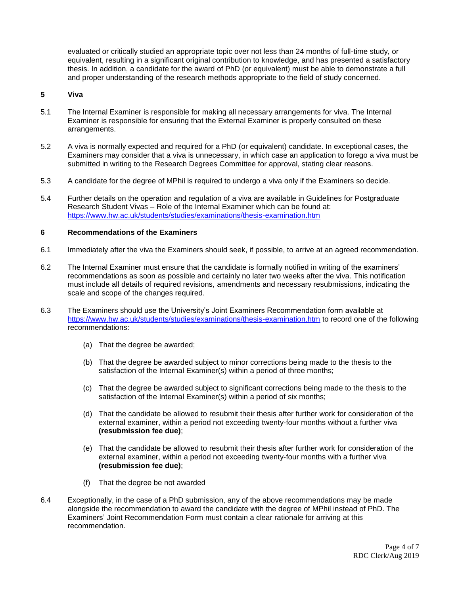evaluated or critically studied an appropriate topic over not less than 24 months of full-time study, or equivalent, resulting in a significant original contribution to knowledge, and has presented a satisfactory thesis. In addition, a candidate for the award of PhD (or equivalent) must be able to demonstrate a full and proper understanding of the research methods appropriate to the field of study concerned.

## **5 Viva**

- 5.1 The Internal Examiner is responsible for making all necessary arrangements for viva. The Internal Examiner is responsible for ensuring that the External Examiner is properly consulted on these arrangements.
- 5.2 A viva is normally expected and required for a PhD (or equivalent) candidate. In exceptional cases, the Examiners may consider that a viva is unnecessary, in which case an application to forego a viva must be submitted in writing to the Research Degrees Committee for approval, stating clear reasons.
- 5.3 A candidate for the degree of MPhil is required to undergo a viva only if the Examiners so decide.
- 5.4 Further details on the operation and regulation of a viva are available in Guidelines for Postgraduate Research Student Vivas – Role of the Internal Examiner which can be found at: <https://www.hw.ac.uk/students/studies/examinations/thesis-examination.htm>

#### **6 Recommendations of the Examiners**

- 6.1 Immediately after the viva the Examiners should seek, if possible, to arrive at an agreed recommendation.
- 6.2 The Internal Examiner must ensure that the candidate is formally notified in writing of the examiners' recommendations as soon as possible and certainly no later two weeks after the viva. This notification must include all details of required revisions, amendments and necessary resubmissions, indicating the scale and scope of the changes required.
- 6.3 The Examiners should use the University's Joint Examiners Recommendation form available at <https://www.hw.ac.uk/students/studies/examinations/thesis-examination.htm> to record one of the following recommendations:
	- (a) That the degree be awarded;
	- (b) That the degree be awarded subject to minor corrections being made to the thesis to the satisfaction of the Internal Examiner(s) within a period of three months;
	- (c) That the degree be awarded subject to significant corrections being made to the thesis to the satisfaction of the Internal Examiner(s) within a period of six months;
	- (d) That the candidate be allowed to resubmit their thesis after further work for consideration of the external examiner, within a period not exceeding twenty-four months without a further viva **(resubmission fee due)**;
	- (e) That the candidate be allowed to resubmit their thesis after further work for consideration of the external examiner, within a period not exceeding twenty-four months with a further viva **(resubmission fee due)**;
	- (f) That the degree be not awarded
- 6.4 Exceptionally, in the case of a PhD submission, any of the above recommendations may be made alongside the recommendation to award the candidate with the degree of MPhil instead of PhD. The Examiners' Joint Recommendation Form must contain a clear rationale for arriving at this recommendation.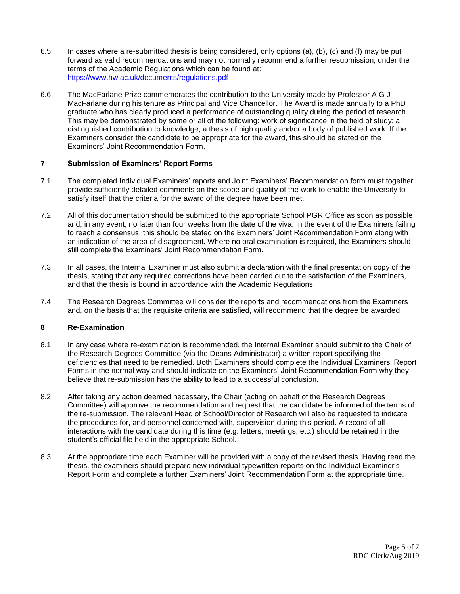- 6.5 In cases where a re-submitted thesis is being considered, only options (a), (b), (c) and (f) may be put forward as valid recommendations and may not normally recommend a further resubmission, under the terms of the Academic Regulations which can be found at: <https://www.hw.ac.uk/documents/regulations.pdf>
- 6.6 The MacFarlane Prize commemorates the contribution to the University made by Professor A G J MacFarlane during his tenure as Principal and Vice Chancellor. The Award is made annually to a PhD graduate who has clearly produced a performance of outstanding quality during the period of research. This may be demonstrated by some or all of the following: work of significance in the field of study; a distinguished contribution to knowledge; a thesis of high quality and/or a body of published work. If the Examiners consider the candidate to be appropriate for the award, this should be stated on the Examiners' Joint Recommendation Form.

# **7 Submission of Examiners' Report Forms**

- 7.1 The completed Individual Examiners' reports and Joint Examiners' Recommendation form must together provide sufficiently detailed comments on the scope and quality of the work to enable the University to satisfy itself that the criteria for the award of the degree have been met.
- 7.2 All of this documentation should be submitted to the appropriate School PGR Office as soon as possible and, in any event, no later than four weeks from the date of the viva. In the event of the Examiners failing to reach a consensus, this should be stated on the Examiners' Joint Recommendation Form along with an indication of the area of disagreement. Where no oral examination is required, the Examiners should still complete the Examiners' Joint Recommendation Form.
- 7.3 In all cases, the Internal Examiner must also submit a declaration with the final presentation copy of the thesis, stating that any required corrections have been carried out to the satisfaction of the Examiners, and that the thesis is bound in accordance with the Academic Regulations.
- 7.4 The Research Degrees Committee will consider the reports and recommendations from the Examiners and, on the basis that the requisite criteria are satisfied, will recommend that the degree be awarded.

## **8 Re-Examination**

- 8.1 In any case where re-examination is recommended, the Internal Examiner should submit to the Chair of the Research Degrees Committee (via the Deans Administrator) a written report specifying the deficiencies that need to be remedied. Both Examiners should complete the Individual Examiners' Report Forms in the normal way and should indicate on the Examiners' Joint Recommendation Form why they believe that re-submission has the ability to lead to a successful conclusion.
- 8.2 After taking any action deemed necessary, the Chair (acting on behalf of the Research Degrees Committee) will approve the recommendation and request that the candidate be informed of the terms of the re-submission. The relevant Head of School/Director of Research will also be requested to indicate the procedures for, and personnel concerned with, supervision during this period. A record of all interactions with the candidate during this time (e.g. letters, meetings, etc.) should be retained in the student's official file held in the appropriate School.
- 8.3 At the appropriate time each Examiner will be provided with a copy of the revised thesis. Having read the thesis, the examiners should prepare new individual typewritten reports on the Individual Examiner's Report Form and complete a further Examiners' Joint Recommendation Form at the appropriate time.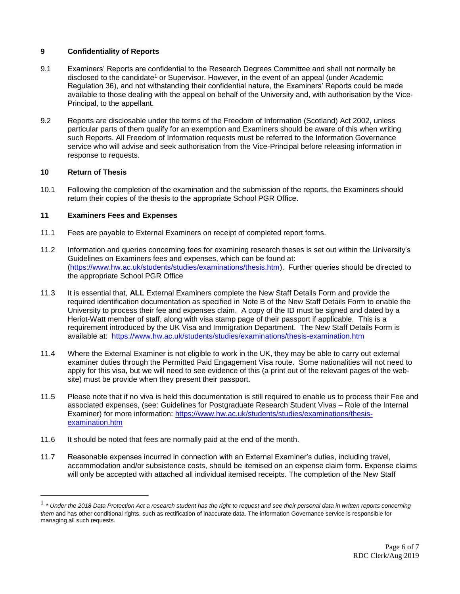# **9 Confidentiality of Reports**

- 9.1 Examiners' Reports are confidential to the Research Degrees Committee and shall not normally be disclosed to the candidate<sup>1</sup> or Supervisor. However, in the event of an appeal (under Academic Regulation 36), and not withstanding their confidential nature, the Examiners' Reports could be made available to those dealing with the appeal on behalf of the University and, with authorisation by the Vice-Principal, to the appellant.
- 9.2 Reports are disclosable under the terms of the Freedom of Information (Scotland) Act 2002, unless particular parts of them qualify for an exemption and Examiners should be aware of this when writing such Reports. All Freedom of Information requests must be referred to the Information Governance service who will advise and seek authorisation from the Vice-Principal before releasing information in response to requests.

# **10 Return of Thesis**

 $\overline{a}$ 

10.1 Following the completion of the examination and the submission of the reports, the Examiners should return their copies of the thesis to the appropriate School PGR Office.

# **11 Examiners Fees and Expenses**

- 11.1 Fees are payable to External Examiners on receipt of completed report forms.
- 11.2 Information and queries concerning fees for examining research theses is set out within the University's Guidelines on Examiners fees and expenses, which can be found at: [\(https://www.hw.ac.uk/students/studies/examinations/thesis.htm\)](https://www.hw.ac.uk/students/studies/examinations/thesis.htm). Further queries should be directed to the appropriate School PGR Office
- 11.3 It is essential that, **ALL** External Examiners complete the New Staff Details Form and provide the required identification documentation as specified in Note B of the New Staff Details Form to enable the University to process their fee and expenses claim. A copy of the ID must be signed and dated by a Heriot-Watt member of staff, along with visa stamp page of their passport if applicable. This is a requirement introduced by the UK Visa and Immigration Department. The New Staff Details Form is available at: <https://www.hw.ac.uk/students/studies/examinations/thesis-examination.htm>
- 11.4 Where the External Examiner is not eligible to work in the UK, they may be able to carry out external examiner duties through the Permitted Paid Engagement Visa route. Some nationalities will not need to apply for this visa, but we will need to see evidence of this (a print out of the relevant pages of the website) must be provide when they present their passport.
- 11.5 Please note that if no viva is held this documentation is still required to enable us to process their Fee and associated expenses, (see: Guidelines for Postgraduate Research Student Vivas – Role of the Internal Examiner) for more information: [https://www.hw.ac.uk/students/studies/examinations/thesis](https://www.hw.ac.uk/students/studies/examinations/thesis-examination.htm)[examination.htm](https://www.hw.ac.uk/students/studies/examinations/thesis-examination.htm)
- 11.6 It should be noted that fees are normally paid at the end of the month.
- 11.7 Reasonable expenses incurred in connection with an External Examiner's duties, including travel, accommodation and/or subsistence costs, should be itemised on an expense claim form. Expense claims will only be accepted with attached all individual itemised receipts. The completion of the New Staff

<sup>1</sup> *\* Under the 2018 Data Protection Act a research student has the right to request and see their personal data in written reports concerning them* and has other conditional rights, such as rectification of inaccurate data. The information Governance service is responsible for managing all such requests.